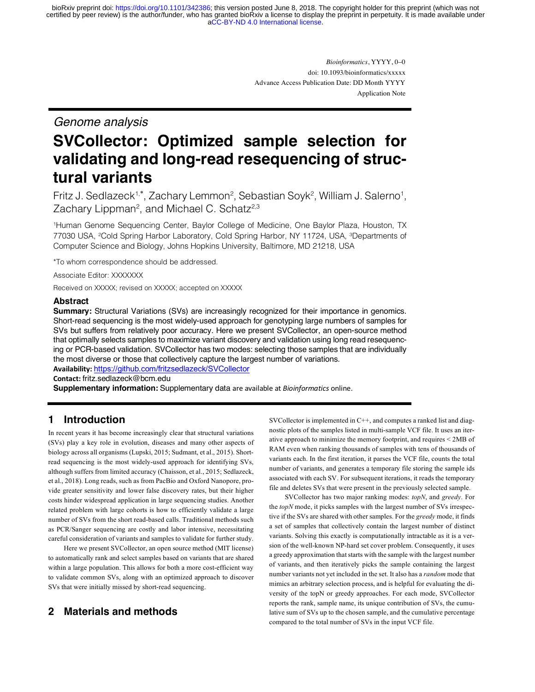[aCC-BY-ND 4.0 International license.](http://creativecommons.org/licenses/by-nd/4.0/) certified by peer review) is the author/funder, who has granted bioRxiv a license to display the preprint in perpetuity. It is made available under bioRxiv preprint doi: [https://doi.org/10.1101/342386;](https://doi.org/10.1101/342386) this version posted June 8, 2018. The copyright holder for this preprint (which was not

> *Bioinformatics*, YYYY, 0–0 doi: 10.1093/bioinformatics/xxxxx Advance Access Publication Date: DD Month YYYY Application Note

# *Genome analysis*

# **SVCollector: Optimized sample selection for validating and long-read resequencing of structural variants**

Fritz J. Sedlazeck<sup>1,\*</sup>, Zachary Lemmon<sup>2</sup>, Sebastian Soyk<sup>2</sup>, William J. Salerno<sup>1</sup>, Zachary Lippman<sup>2</sup>, and Michael C. Schatz<sup>2,3</sup>

1Human Genome Sequencing Center, Baylor College of Medicine, One Baylor Plaza, Houston, TX 77030 USA, <sup>2</sup>Cold Spring Harbor Laboratory, Cold Spring Harbor, NY 11724, USA, <sup>3</sup>Departments of Computer Science and Biology, Johns Hopkins University, Baltimore, MD 21218, USA

\*To whom correspondence should be addressed.

Associate Editor: XXXXXXX

Received on XXXXX; revised on XXXXX; accepted on XXXXX

#### **Abstract**

**Summary:** Structural Variations (SVs) are increasingly recognized for their importance in genomics. Short-read sequencing is the most widely-used approach for genotyping large numbers of samples for SVs but suffers from relatively poor accuracy. Here we present SVCollector, an open-source method that optimally selects samples to maximize variant discovery and validation using long read resequencing or PCR-based validation. SVCollector has two modes: selecting those samples that are individually the most diverse or those that collectively capture the largest number of variations. **Availability:** https://github.com/fritzsedlazeck/SVCollector

**Contact:** fritz.sedlazeck@bcm.edu

**Supplementary information:** Supplementary data are available at *Bioinformatics* online.

# **1 Introduction**

In recent years it has become increasingly clear that structural variations (SVs) play a key role in evolution, diseases and many other aspects of biology across all organisms (Lupski, 2015; Sudmant, et al., 2015). Shortread sequencing is the most widely-used approach for identifying SVs, although suffers from limited accuracy (Chaisson, et al., 2015; Sedlazeck, et al., 2018). Long reads, such as from PacBio and Oxford Nanopore, provide greater sensitivity and lower false discovery rates, but their higher costs hinder widespread application in large sequencing studies. Another related problem with large cohorts is how to efficiently validate a large number of SVs from the short read-based calls. Traditional methods such as PCR/Sanger sequencing are costly and labor intensive, necessitating careful consideration of variants and samples to validate for further study.

Here we present SVCollector, an open source method (MIT license) to automatically rank and select samples based on variants that are shared within a large population. This allows for both a more cost-efficient way to validate common SVs, along with an optimized approach to discover SVs that were initially missed by short-read sequencing.

# **2 Materials and methods**

SVCollector is implemented in C++, and computes a ranked list and diagnostic plots of the samples listed in multi-sample VCF file. It uses an iterative approach to minimize the memory footprint, and requires < 2MB of RAM even when ranking thousands of samples with tens of thousands of variants each. In the first iteration, it parses the VCF file, counts the total number of variants, and generates a temporary file storing the sample ids associated with each SV. For subsequent iterations, it reads the temporary file and deletes SVs that were present in the previously selected sample.

SVCollector has two major ranking modes: *topN*, and *greedy*. For the *topN* mode, it picks samples with the largest number of SVs irrespective if the SVs are shared with other samples. For the *greedy* mode, it finds a set of samples that collectively contain the largest number of distinct variants. Solving this exactly is computationally intractable as it is a version of the well-known NP-hard set cover problem. Consequently, it uses a greedy approximation that starts with the sample with the largest number of variants, and then iteratively picks the sample containing the largest number variants not yet included in the set. It also has a *random* mode that mimics an arbitrary selection process, and is helpful for evaluating the diversity of the topN or greedy approaches. For each mode, SVCollector reports the rank, sample name, its unique contribution of SVs, the cumulative sum of SVs up to the chosen sample, and the cumulative percentage compared to the total number of SVs in the input VCF file.